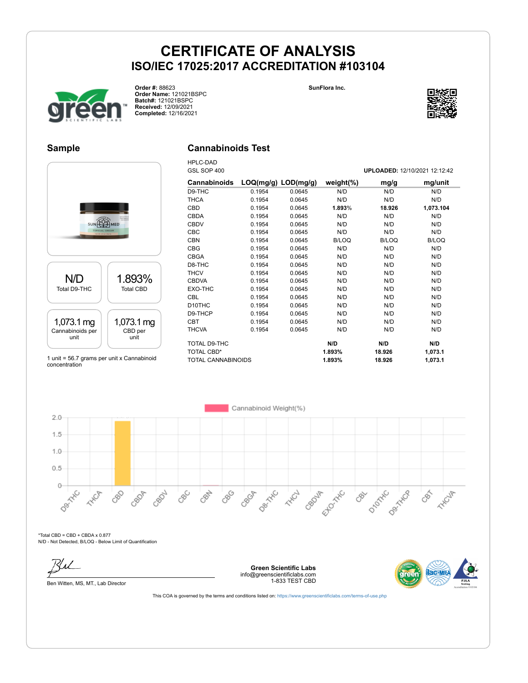

GSL SOP 400 **UPLOADED:** 12/10/2021 12:12:42



**Order #:** 88623 **Order Name:** 121021BSPC **Batch#:** 121021BSPC **Received:** 12/09/2021 **Completed:** 12/16/2021

### **Sample**

### **Cannabinoids Test**

HPLC-DAD<br>CSL SOD 400



1 unit = 56.7 grams per unit x Cannabinoid concentration

| UJL JUF 400               |                         |        | <b>UFLOADED.</b> 12/10/2021 12.12. <del>4</del> 2 |              |              |  |
|---------------------------|-------------------------|--------|---------------------------------------------------|--------------|--------------|--|
| <b>Cannabinoids</b>       | $LOQ(mg/g)$ $LOD(mg/g)$ |        | weight $(\%)$                                     | mg/g         | mg/unit      |  |
| D9-THC                    | 0.1954                  | 0.0645 | N/D                                               | N/D          | N/D          |  |
| <b>THCA</b>               | 0.1954                  | 0.0645 | N/D                                               | N/D          | N/D          |  |
| CBD                       | 0.1954                  | 0.0645 | 1.893%                                            | 18.926       | 1,073.104    |  |
| CBDA                      | 0.1954                  | 0.0645 | N/D                                               | N/D          | N/D          |  |
| <b>CBDV</b>               | 0.1954                  | 0.0645 | N/D                                               | N/D          | N/D          |  |
| <b>CBC</b>                | 0.1954                  | 0.0645 | N/D                                               | N/D          | N/D          |  |
| <b>CBN</b>                | 0.1954                  | 0.0645 | <b>B/LOQ</b>                                      | <b>B/LOQ</b> | <b>B/LOQ</b> |  |
| <b>CBG</b>                | 0.1954                  | 0.0645 | N/D                                               | N/D          | N/D          |  |
| <b>CBGA</b>               | 0.1954                  | 0.0645 | N/D                                               | N/D          | N/D          |  |
| D8-THC                    | 0.1954                  | 0.0645 | N/D                                               | N/D          | N/D          |  |
| <b>THCV</b>               | 0.1954                  | 0.0645 | N/D                                               | N/D          | N/D          |  |
| <b>CBDVA</b>              | 0.1954                  | 0.0645 | N/D                                               | N/D          | N/D          |  |
| EXO-THC                   | 0.1954                  | 0.0645 | N/D                                               | N/D          | N/D          |  |
| <b>CBL</b>                | 0.1954                  | 0.0645 | N/D                                               | N/D          | N/D          |  |
| D <sub>10</sub> THC       | 0.1954                  | 0.0645 | N/D                                               | N/D          | N/D          |  |
| D9-THCP                   | 0.1954                  | 0.0645 | N/D                                               | N/D          | N/D          |  |
| <b>CBT</b>                | 0.1954                  | 0.0645 | N/D                                               | N/D          | N/D          |  |
| <b>THCVA</b>              | 0.1954                  | 0.0645 | N/D                                               | N/D          | N/D          |  |
| TOTAL D9-THC              |                         |        | N/D                                               | N/D          | N/D          |  |
| TOTAL CBD*                |                         |        | 1.893%                                            | 18.926       | 1,073.1      |  |
| <b>TOTAL CANNABINOIDS</b> |                         |        | 1.893%                                            | 18.926       | 1,073.1      |  |

Cannabinoid Weight(%)  $2.0$  $1.5$  $1.0$  $0.5$ ELOTRIC  $\circ$ D-10THC Dec Tric Dentrice CBC CBO **Desiminal** CBOLL I CRAN CBGA CBOUT **HADON HAVE** 880 CBOR **ANCL** CBT  $C_{\infty}$ 

\*Total CBD = CBD + CBDA x 0.877 N/D - Not Detected, B/LOQ - Below Limit of Quantification

Ben Witten, MS, MT., Lab Director

**Green Scientific Labs** info@greenscientificlabs.com 1-833 TEST CBD

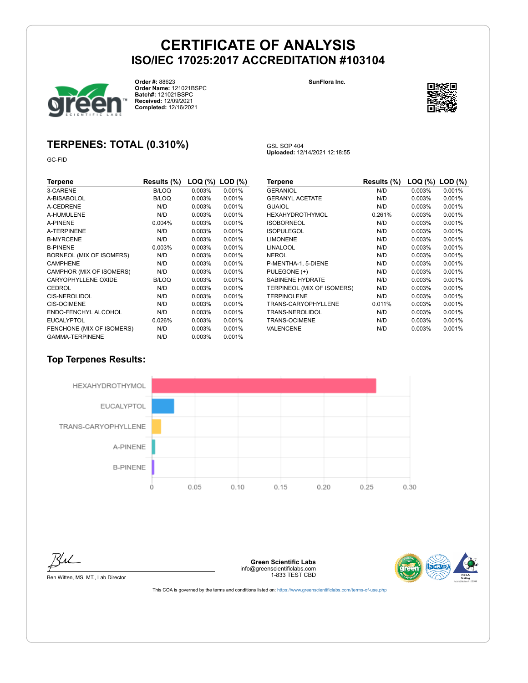GSL SOP 404

**Uploaded:** 12/14/2021 12:18:55



**Order #:** 88623 **Order Name:** 121021BSPC **Batch#:** 121021BSPC **Received:** 12/09/2021 **Completed:** 12/16/2021

**SunFlora Inc.**



## **TERPENES: TOTAL (0.310%)**

GC-FID

| Terpene                   | Results (%)  | LOQ (%) | LOD (%) |
|---------------------------|--------------|---------|---------|
| 3-CARENE                  | B/LOQ        | 0.003%  | 0.001%  |
| A-BISABOLOL               | <b>B/LOQ</b> | 0.003%  | 0.001%  |
| A-CEDRENE                 | N/D          | 0.003%  | 0.001%  |
| A-HUMULENE                | N/D          | 0.003%  | 0.001%  |
| A-PINENE                  | 0.004%       | 0.003%  | 0.001%  |
| A-TERPINENE               | N/D          | 0.003%  | 0.001%  |
| <b>B-MYRCENE</b>          | N/D          | 0.003%  | 0.001%  |
| <b>B-PINENE</b>           | 0.003%       | 0.003%  | 0.001%  |
| BORNEOL (MIX OF ISOMERS)  | N/D          | 0.003%  | 0.001%  |
| <b>CAMPHENE</b>           | N/D          | 0.003%  | 0.001%  |
| CAMPHOR (MIX OF ISOMERS)  | N/D          | 0.003%  | 0.001%  |
| CARYOPHYLLENE OXIDE       | B/LOQ        | 0.003%  | 0.001%  |
| CEDROL                    | N/D          | 0.003%  | 0.001%  |
| CIS-NEROLIDOL             | N/D          | 0.003%  | 0.001%  |
| <b>CIS-OCIMENE</b>        | N/D          | 0.003%  | 0.001%  |
| ENDO-FENCHYL ALCOHOL      | N/D          | 0.003%  | 0.001%  |
| <b>EUCALYPTOL</b>         | 0.026%       | 0.003%  | 0.001%  |
| FENCHONE (MIX OF ISOMERS) | N/D          | 0.003%  | 0.001%  |
| <b>GAMMA-TERPINENE</b>    | N/D          | 0.003%  | 0.001%  |

| Terpene                    | Results (%) | LOQ (%) | $LOD$ (%) |
|----------------------------|-------------|---------|-----------|
| <b>GERANIOL</b>            | N/D         | 0.003%  | 0.001%    |
| <b>GERANYL ACETATE</b>     | N/D         | 0.003%  | 0.001%    |
| GUAIOL                     | N/D         | 0.003%  | 0.001%    |
| HEXAHYDROTHYMOL            | 0.261%      | 0.003%  | 0.001%    |
| <b>ISOBORNEOL</b>          | N/D         | 0.003%  | 0.001%    |
| <b>ISOPULEGOL</b>          | N/D         | 0.003%  | 0.001%    |
| <b>LIMONENE</b>            | N/D         | 0.003%  | 0.001%    |
| LINALOOL                   | N/D         | 0.003%  | 0.001%    |
| NEROL                      | N/D         | 0.003%  | 0.001%    |
| P-MENTHA-1, 5-DIENE        | N/D         | 0.003%  | 0.001%    |
| PULEGONE (+)               | N/D         | 0.003%  | 0.001%    |
| <b>SABINENE HYDRATE</b>    | N/D         | 0.003%  | 0.001%    |
| TERPINEOL (MIX OF ISOMERS) | N/D         | 0.003%  | 0.001%    |
| <b>TERPINOLENE</b>         | N/D         | 0.003%  | 0.001%    |
| TRANS-CARYOPHYLLENE        | 0.011%      | 0.003%  | 0.001%    |
| TRANS-NEROLIDOL            | N/D         | 0.003%  | 0.001%    |
| TRANS-OCIMENE              | N/D         | 0.003%  | 0.001%    |
| VALENCENE                  | N/D         | 0.003%  | 0.001%    |

### **Top Terpenes Results:**



/YıL

Ben Witten, MS, MT., Lab Director

**Green Scientific Labs** info@greenscientificlabs.com 1-833 TEST CBD

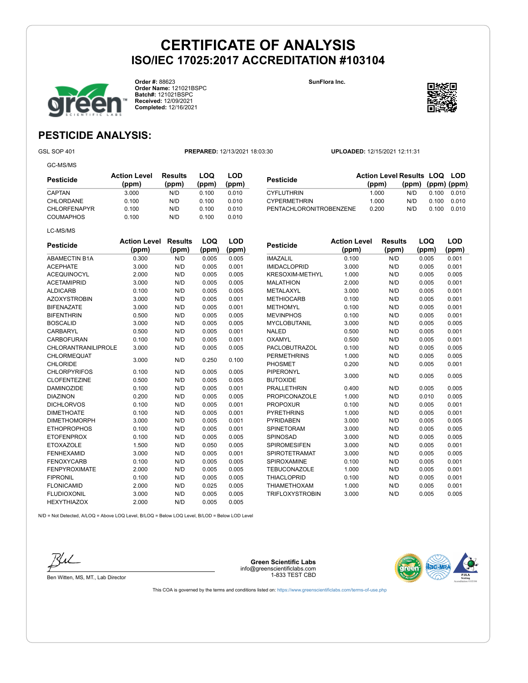

**Order #:** 88623 **Order Name:** 121021BSPC **Batch#:** 121021BSPC **Received:** 12/09/2021 **Completed:** 12/16/2021

**SunFlora Inc.**

**Pesticide Action Level**



**(ppm) (ppm) (ppm)**

**LOQ (ppm)**

**LOD (ppm)**

## **PESTICIDE ANALYSIS:**

GC-MS/MS

GSL SOP 401 **PREPARED:** 12/13/2021 18:03:30 **UPLOADED:** 12/15/2021 12:11:31

**Results (ppm)**

**Pesticide Action Level Results LOQ LOD (ppm)**

CYFLUTHRIN 1.000 N/D 0.100 0.010 CYPERMETHRIN 1.000 N/D 0.100 0.010 PENTACHLORONITROBENZENE 0.200 N/D 0.100 0.010

IMAZALIL 0.100 N/D 0.005 0.001 IMIDACLOPRID 3.000 N/D 0.005 0.001 KRESOXIM-METHYL 1.000 N/D 0.005 0.005 MALATHION 2.000 N/D 0.005 0.001 METALAXYL 3.000 N/D 0.005 0.001 METHIOCARB 0.100 N/D 0.005 0.001 METHOMYL 0.100 N/D 0.005 0.001 MEVINPHOS 0.100 N/D 0.005 0.001 MYCLOBUTANIL 3.000 N/D 0.005 0.005 NALED 0.500 N/D 0.005 0.001 OXAMYL 0.500 N/D 0.005 0.001 PACLOBUTRAZOL 0.100 N/D 0.005 0.005 PERMETHRINS 1.000 N/D 0.005 0.005 PHOSMET 0.200 N/D 0.005 0.001

PIPERONTL<br>BUTOXIDE 3.000 N/D 0.005 0.005 PRALLETHRIN 0.400 N/D 0.005 0.005 PROPICONAZOLE 1.000 N/D 0.010 0.005 PROPOXUR 0.100 N/D 0.005 0.001 PYRETHRINS 1.000 N/D 0.005 0.001 PYRIDABEN 3.000 N/D 0.005 0.005 SPINETORAM 3.000 N/D 0.005 0.005 SPINOSAD 3.000 N/D 0.005 0.005 SPIROMESIFEN 3.000 N/D 0.005 0.001 SPIROTETRAMAT 3.000 N/D 0.005 0.005 SPIROXAMINE 0.100 N/D 0.005 0.001 TEBUCONAZOLE 1.000 N/D 0.005 0.001 THIACLOPRID 0.100 N/D 0.005 0.001 THIAMETHOXAM 1.000 N/D 0.005 0.001 TRIFLOXYSTROBIN 3.000 N/D 0.005 0.005

**(ppm)**

| Pesticide           | <b>Action Level</b><br>(ppm) | Results<br>(ppm) | LOQ<br>(ppm) | LOD<br>(ppm) |
|---------------------|------------------------------|------------------|--------------|--------------|
| CAPTAN              | 3.000                        | N/D              | 0.100        | 0.010        |
| CHLORDANE           | 0.100                        | N/D              | 0.100        | 0.010        |
| <b>CHLORFENAPYR</b> | 0.100                        | N/D              | 0.100        | 0.010        |
| <b>COUMAPHOS</b>    | 0.100                        | N/D              | 0.100        | 0.010        |
| LC-MS/MS            |                              |                  |              |              |

| <b>Pesticide</b>           | <b>Action Level</b> | <b>Results</b> | LOQ   | LOD   |
|----------------------------|---------------------|----------------|-------|-------|
|                            | (ppm)               | (ppm)          | (ppm) | (ppm) |
| <b>ABAMECTIN B1A</b>       | 0.300               | N/D            | 0.005 | 0.005 |
| <b>ACEPHATE</b>            | 3.000               | N/D            | 0.005 | 0.001 |
| <b>ACEQUINOCYL</b>         | 2.000               | N/D            | 0.005 | 0.005 |
| <b>ACETAMIPRID</b>         | 3.000               | N/D            | 0.005 | 0.005 |
| <b>ALDICARB</b>            | 0.100               | N/D            | 0.005 | 0.005 |
| <b>AZOXYSTROBIN</b>        | 3.000               | N/D            | 0.005 | 0.001 |
| <b>BIFENAZATE</b>          | 3.000               | N/D            | 0.005 | 0.001 |
| <b>BIFENTHRIN</b>          | 0.500               | N/D            | 0.005 | 0.005 |
| <b>BOSCALID</b>            | 3.000               | N/D            | 0.005 | 0.005 |
| CARBARYL                   | 0.500               | N/D            | 0.005 | 0.001 |
| <b>CARBOFURAN</b>          | 0.100               | N/D            | 0.005 | 0.001 |
| <b>CHLORANTRANILIPROLE</b> | 3.000               | N/D            | 0.005 | 0.005 |
| <b>CHLORMEQUAT</b>         | 3.000               | N/D            | 0.250 | 0.100 |
| <b>CHLORIDE</b>            |                     |                |       |       |
| <b>CHLORPYRIFOS</b>        | 0.100               | N/D            | 0.005 | 0.005 |
| <b>CLOFENTEZINE</b>        | 0.500               | N/D            | 0.005 | 0.005 |
| <b>DAMINOZIDE</b>          | 0.100               | N/D            | 0.005 | 0.001 |
| <b>DIAZINON</b>            | 0.200               | N/D            | 0.005 | 0.005 |
| <b>DICHLORVOS</b>          | 0.100               | N/D            | 0.005 | 0.001 |
| <b>DIMETHOATE</b>          | 0.100               | N/D            | 0.005 | 0.001 |
| <b>DIMETHOMORPH</b>        | 3.000               | N/D            | 0.005 | 0.001 |
| <b>ETHOPROPHOS</b>         | 0.100               | N/D            | 0.005 | 0.001 |
| <b>ETOFENPROX</b>          | 0.100               | N/D            | 0.005 | 0.005 |
| <b>ETOXAZOLE</b>           | 1.500               | N/D            | 0.050 | 0.005 |
| <b>FENHEXAMID</b>          | 3.000               | N/D            | 0.005 | 0.001 |
| <b>FENOXYCARB</b>          | 0.100               | N/D            | 0.005 | 0.005 |
| <b>FENPYROXIMATE</b>       | 2.000               | N/D            | 0.005 | 0.005 |
| <b>FIPRONIL</b>            | 0.100               | N/D            | 0.005 | 0.005 |
| <b>FLONICAMID</b>          | 2.000               | N/D            | 0.025 | 0.005 |
| <b>FLUDIOXONIL</b>         | 3.000               | N/D            | 0.005 | 0.005 |
| <b>HEXYTHIAZOX</b>         | 2.000               | N/D            | 0.005 | 0.005 |

N/D = Not Detected, A/LOQ = Above LOQ Level, B/LOQ = Below LOQ Level, B/LOD = Below LOD Level



Ben Witten, MS, MT., Lab Director

**Green Scientific Labs** info@greenscientificlabs.com 1-833 TEST CBD

PIPERONYL

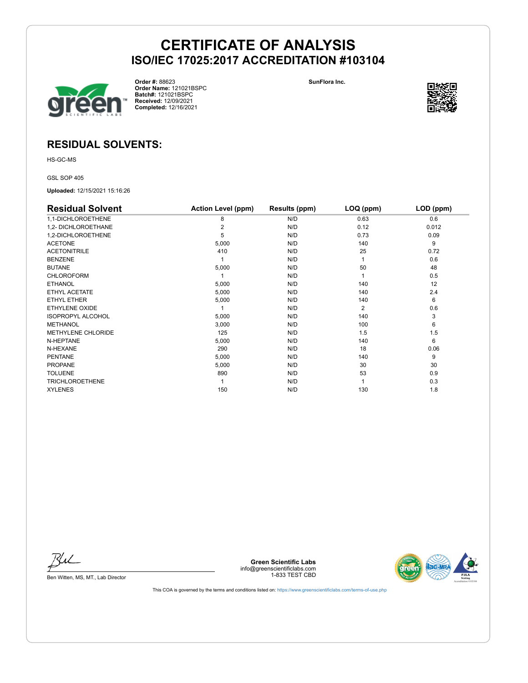

**Order #:** 88623 **Order Name:** 121021BSPC **Batch#:** 121021BSPC **Received:** 12/09/2021 **Completed:** 12/16/2021 **SunFlora Inc.**



## **RESIDUAL SOLVENTS:**

HS-GC-MS

GSL SOP 405

**Uploaded:** 12/15/2021 15:16:26

| <b>Residual Solvent</b>   | <b>Action Level (ppm)</b> | Results (ppm) | LOQ (ppm)      | LOD (ppm) |
|---------------------------|---------------------------|---------------|----------------|-----------|
| 1,1-DICHLOROETHENE        | 8                         | N/D           | 0.63           | 0.6       |
| 1,2- DICHLOROETHANE       | 2                         | N/D           | 0.12           | 0.012     |
| 1,2-DICHLOROETHENE        | 5                         | N/D           | 0.73           | 0.09      |
| <b>ACETONE</b>            | 5,000                     | N/D           | 140            | 9         |
| <b>ACETONITRILE</b>       | 410                       | N/D           | 25             | 0.72      |
| <b>BENZENE</b>            |                           | N/D           |                | 0.6       |
| <b>BUTANE</b>             | 5,000                     | N/D           | 50             | 48        |
| <b>CHLOROFORM</b>         |                           | N/D           |                | 0.5       |
| <b>ETHANOL</b>            | 5,000                     | N/D           | 140            | 12        |
| ETHYL ACETATE             | 5,000                     | N/D           | 140            | 2.4       |
| ETHYL ETHER               | 5,000                     | N/D           | 140            | 6         |
| ETHYLENE OXIDE            |                           | N/D           | $\overline{2}$ | 0.6       |
| <b>ISOPROPYL ALCOHOL</b>  | 5,000                     | N/D           | 140            | 3         |
| <b>METHANOL</b>           | 3,000                     | N/D           | 100            | 6         |
| <b>METHYLENE CHLORIDE</b> | 125                       | N/D           | 1.5            | 1.5       |
| N-HEPTANE                 | 5,000                     | N/D           | 140            | 6         |
| N-HEXANE                  | 290                       | N/D           | 18             | 0.06      |
| <b>PENTANE</b>            | 5,000                     | N/D           | 140            | 9         |
| PROPANE                   | 5,000                     | N/D           | 30             | 30        |
| <b>TOLUENE</b>            | 890                       | N/D           | 53             | 0.9       |
| <b>TRICHLOROETHENE</b>    |                           | N/D           |                | 0.3       |
| <b>XYLENES</b>            | 150                       | N/D           | 130            | 1.8       |

Bu

Ben Witten, MS, MT., Lab Director

**Green Scientific Labs** info@greenscientificlabs.com 1-833 TEST CBD

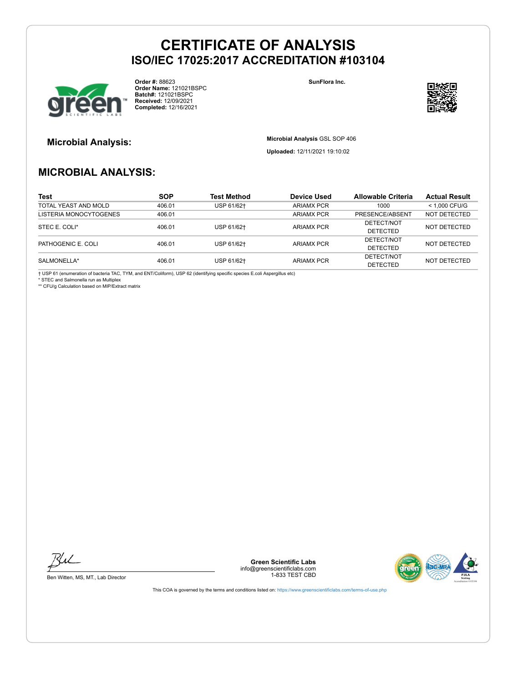

**Order #:** 88623 **Order Name:** 121021BSPC **Batch#:** 121021BSPC **Received:** 12/09/2021 **Completed:** 12/16/2021

**SunFlora Inc.**



**Microbial Analysis: Microbial Analysis** GSL SOP 406

**Uploaded:** 12/11/2021 19:10:02

## **MICROBIAL ANALYSIS:**

| Test                   | <b>SOP</b> | Test Method | Device Used       | Allowable Criteria | <b>Actual Result</b> |
|------------------------|------------|-------------|-------------------|--------------------|----------------------|
| TOTAL YEAST AND MOLD   | 406.01     | USP 61/62+  | <b>ARIAMX PCR</b> | 1000               | < 1.000 CFU/G        |
| LISTERIA MONOCYTOGENES | 406.01     |             | <b>ARIAMX PCR</b> | PRESENCE/ABSENT    | NOT DETECTED         |
| STEC E. COLI*          | 406.01     | USP 61/62+  |                   | DETECT/NOT         | NOT DETECTED         |
|                        |            |             | <b>ARIAMX PCR</b> | <b>DETECTED</b>    |                      |
| PATHOGENIC E. COLI     | 406.01     | USP 61/62+  | ARIAMX PCR        | DETECT/NOT         | NOT DETECTED         |
|                        |            |             |                   | DETECTED           |                      |
| SALMONELLA*            | 406.01     | USP 61/62+  | ARIAMX PCR        | DETECT/NOT         | NOT DETECTED         |
|                        |            |             |                   | <b>DETECTED</b>    |                      |

† USP 61 (enumeration of bacteria TAC, TYM, and ENT/Coliform), USP 62 (identifying specific species E.coli Aspergillus etc)

\* STEC and Salmonella run as Multiplex \*\* CFU/g Calculation based on MIP/Extract matrix



Ben Witten, MS, MT., Lab Director

**Green Scientific Labs** info@greenscientificlabs.com 1-833 TEST CBD